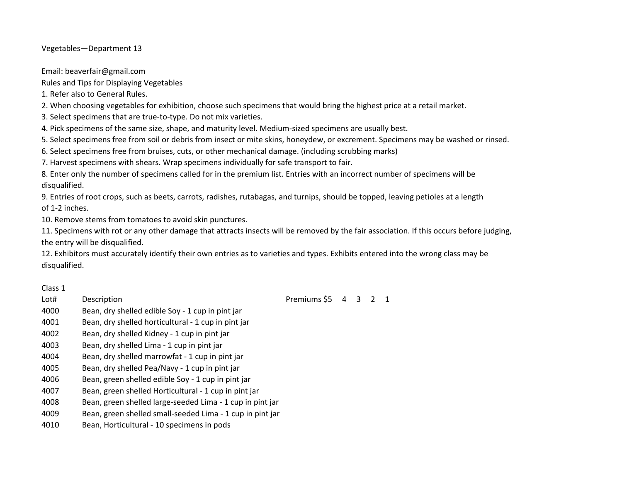Vegetables—Department 13

Email: beaverfair@gmail.com

Rules and Tips for Displaying Vegetables

1. Refer also to General Rules.

2. When choosing vegetables for exhibition, choose such specimens that would bring the highest price at a retail market.

3. Select specimens that are true-to-type. Do not mix varieties.

4. Pick specimens of the same size, shape, and maturity level. Medium-sized specimens are usually best.

5. Select specimens free from soil or debris from insect or mite skins, honeydew, or excrement. Specimens may be washed or rinsed.

6. Select specimens free from bruises, cuts, or other mechanical damage. (including scrubbing marks)

7. Harvest specimens with shears. Wrap specimens individually for safe transport to fair.

8. Enter only the number of specimens called for in the premium list. Entries with an incorrect number of specimens will be disqualified.

9. Entries of root crops, such as beets, carrots, radishes, rutabagas, and turnips, should be topped, leaving petioles at a length of 1-2 inches.

10. Remove stems from tomatoes to avoid skin punctures.

11. Specimens with rot or any other damage that attracts insects will be removed by the fair association. If this occurs before judging, the entry will be disqualified.

12. Exhibitors must accurately identify their own entries as to varieties and types. Exhibits entered into the wrong class may be disqualified.

## Class 1

- 
- 4000 Bean, dry shelled edible Soy 1 cup in pint jar
- 4001 Bean, dry shelled horticultural 1 cup in pint jar
- 4002 Bean, dry shelled Kidney 1 cup in pint jar
- 4003 Bean, dry shelled Lima 1 cup in pint jar
- 4004 Bean, dry shelled marrowfat 1 cup in pint jar
- 4005 Bean, dry shelled Pea/Navy 1 cup in pint jar
- 4006 Bean, green shelled edible Soy 1 cup in pint jar
- 4007 Bean, green shelled Horticultural 1 cup in pint jar
- 4008 Bean, green shelled large-seeded Lima 1 cup in pint jar
- 4009 Bean, green shelled small-seeded Lima 1 cup in pint jar
- 4010 Bean, Horticultural 10 specimens in pods

Lot# Description **Description** Description Description Description Description Description Description Description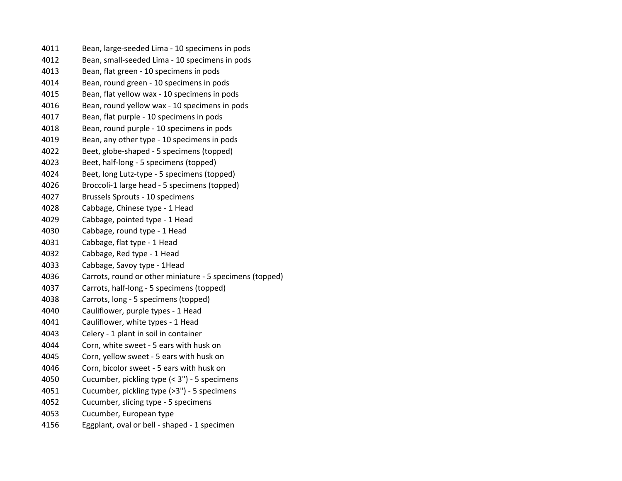| 4011 | Bean, large-seeded Lima - 10 specimens in pods           |
|------|----------------------------------------------------------|
| 4012 | Bean, small-seeded Lima - 10 specimens in pods           |
| 4013 | Bean, flat green - 10 specimens in pods                  |
| 4014 | Bean, round green - 10 specimens in pods                 |
| 4015 | Bean, flat yellow wax - 10 specimens in pods             |
| 4016 | Bean, round yellow wax - 10 specimens in pods            |
| 4017 | Bean, flat purple - 10 specimens in pods                 |
| 4018 | Bean, round purple - 10 specimens in pods                |
| 4019 | Bean, any other type - 10 specimens in pods              |
| 4022 | Beet, globe-shaped - 5 specimens (topped)                |
| 4023 | Beet, half-long - 5 specimens (topped)                   |
| 4024 | Beet, long Lutz-type - 5 specimens (topped)              |
| 4026 | Broccoli-1 large head - 5 specimens (topped)             |
| 4027 | Brussels Sprouts - 10 specimens                          |
| 4028 | Cabbage, Chinese type - 1 Head                           |
| 4029 | Cabbage, pointed type - 1 Head                           |
| 4030 | Cabbage, round type - 1 Head                             |
| 4031 | Cabbage, flat type - 1 Head                              |
| 4032 | Cabbage, Red type - 1 Head                               |
| 4033 | Cabbage, Savoy type - 1Head                              |
| 4036 | Carrots, round or other miniature - 5 specimens (topped) |
| 4037 | Carrots, half-long - 5 specimens (topped)                |
| 4038 | Carrots, long - 5 specimens (topped)                     |
| 4040 | Cauliflower, purple types - 1 Head                       |
| 4041 | Cauliflower, white types - 1 Head                        |
| 4043 | Celery - 1 plant in soil in container                    |
| 4044 | Corn, white sweet - 5 ears with husk on                  |
| 4045 | Corn, yellow sweet - 5 ears with husk on                 |
| 4046 | Corn, bicolor sweet - 5 ears with husk on                |
| 4050 | Cucumber, pickling type (< 3") - 5 specimens             |
| 4051 | Cucumber, pickling type (>3") - 5 specimens              |
| 4052 | Cucumber, slicing type - 5 specimens                     |
| 4053 | Cucumber, European type                                  |
| 4156 | Eggplant, oval or bell - shaped - 1 specimen             |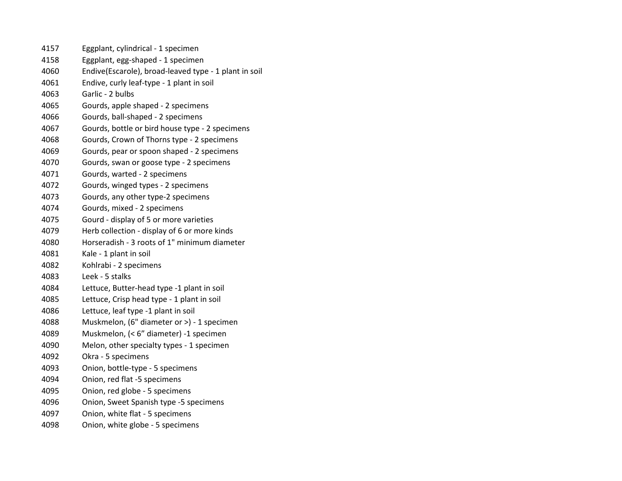| 4157 | Eggplant, cylindrical - 1 specimen                    |
|------|-------------------------------------------------------|
| 4158 | Eggplant, egg-shaped - 1 specimen                     |
| 4060 | Endive(Escarole), broad-leaved type - 1 plant in soil |
| 4061 | Endive, curly leaf-type - 1 plant in soil             |
| 4063 | Garlic - 2 bulbs                                      |
| 4065 | Gourds, apple shaped - 2 specimens                    |
| 4066 | Gourds, ball-shaped - 2 specimens                     |
| 4067 | Gourds, bottle or bird house type - 2 specimens       |
| 4068 | Gourds, Crown of Thorns type - 2 specimens            |
| 4069 | Gourds, pear or spoon shaped - 2 specimens            |
| 4070 | Gourds, swan or goose type - 2 specimens              |
| 4071 | Gourds, warted - 2 specimens                          |
| 4072 | Gourds, winged types - 2 specimens                    |
| 4073 | Gourds, any other type-2 specimens                    |
| 4074 | Gourds, mixed - 2 specimens                           |
| 4075 | Gourd - display of 5 or more varieties                |
| 4079 | Herb collection - display of 6 or more kinds          |
| 4080 | Horseradish - 3 roots of 1" minimum diameter          |
| 4081 | Kale - 1 plant in soil                                |
| 4082 | Kohlrabi - 2 specimens                                |
| 4083 | Leek - 5 stalks                                       |
| 4084 | Lettuce, Butter-head type -1 plant in soil            |
| 4085 | Lettuce, Crisp head type - 1 plant in soil            |
| 4086 | Lettuce, leaf type -1 plant in soil                   |
| 4088 | Muskmelon, (6" diameter or >) - 1 specimen            |
| 4089 | Muskmelon, (< 6" diameter) -1 specimen                |
| 4090 | Melon, other specialty types - 1 specimen             |
| 4092 | Okra - 5 specimens                                    |
| 4093 | Onion, bottle-type - 5 specimens                      |
| 4094 | Onion, red flat -5 specimens                          |
| 4095 | Onion, red globe - 5 specimens                        |
| 4096 | Onion, Sweet Spanish type -5 specimens                |
| 4097 | Onion, white flat - 5 specimens                       |
| 4098 | Onion, white globe - 5 specimens                      |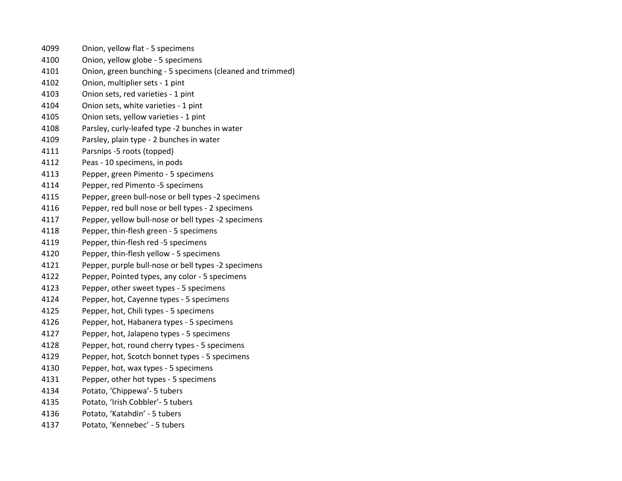- Onion, yellow flat 5 specimens
- Onion, yellow globe 5 specimens
- Onion, green bunching 5 specimens (cleaned and trimmed)
- Onion, multiplier sets 1 pint
- Onion sets, red varieties 1 pint
- Onion sets, white varieties 1 pint
- Onion sets, yellow varieties 1 pint
- Parsley, curly-leafed type -2 bunches in water
- Parsley, plain type 2 bunches in water
- Parsnips -5 roots (topped)
- Peas 10 specimens, in pods
- Pepper, green Pimento 5 specimens
- Pepper, red Pimento -5 specimens
- Pepper, green bull-nose or bell types -2 specimens
- Pepper, red bull nose or bell types 2 specimens
- Pepper, yellow bull-nose or bell types -2 specimens
- Pepper, thin-flesh green 5 specimens
- Pepper, thin-flesh red -5 specimens
- Pepper, thin-flesh yellow 5 specimens
- Pepper, purple bull-nose or bell types -2 specimens
- Pepper, Pointed types, any color 5 specimens
- Pepper, other sweet types 5 specimens
- Pepper, hot, Cayenne types 5 specimens
- Pepper, hot, Chili types 5 specimens
- Pepper, hot, Habanera types 5 specimens
- Pepper, hot, Jalapeno types 5 specimens
- Pepper, hot, round cherry types 5 specimens
- Pepper, hot, Scotch bonnet types 5 specimens
- Pepper, hot, wax types 5 specimens
- Pepper, other hot types 5 specimens
- Potato, 'Chippewa'- 5 tubers
- Potato, 'Irish Cobbler'- 5 tubers
- Potato, 'Katahdin' 5 tubers
- Potato, 'Kennebec' 5 tubers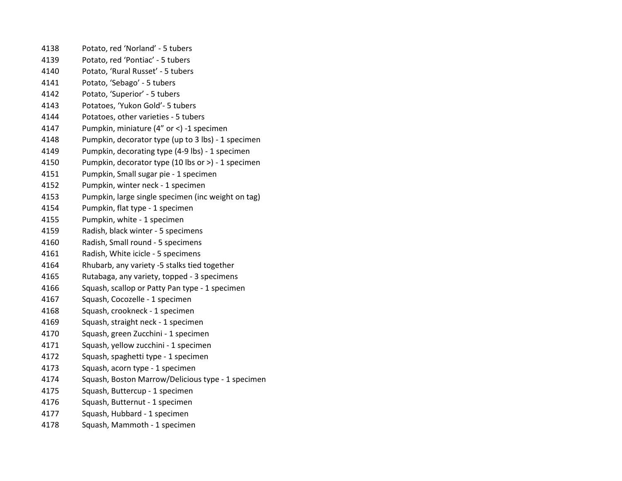| 4138 | Potato, red 'Norland' - 5 tubers                   |
|------|----------------------------------------------------|
| 4139 | Potato, red 'Pontiac' - 5 tubers                   |
| 4140 | Potato, 'Rural Russet' - 5 tubers                  |
| 4141 | Potato, 'Sebago' - 5 tubers                        |
| 4142 | Potato, 'Superior' - 5 tubers                      |
| 4143 | Potatoes, 'Yukon Gold'- 5 tubers                   |
| 4144 | Potatoes, other varieties - 5 tubers               |
| 4147 | Pumpkin, miniature (4" or <) -1 specimen           |
| 4148 | Pumpkin, decorator type (up to 3 lbs) - 1 specimen |
| 4149 | Pumpkin, decorating type (4-9 lbs) - 1 specimen    |
| 4150 | Pumpkin, decorator type (10 lbs or >) - 1 specimen |
| 4151 | Pumpkin, Small sugar pie - 1 specimen              |
| 4152 | Pumpkin, winter neck - 1 specimen                  |
| 4153 | Pumpkin, large single specimen (inc weight on tag) |
| 4154 | Pumpkin, flat type - 1 specimen                    |
| 4155 | Pumpkin, white - 1 specimen                        |
| 4159 | Radish, black winter - 5 specimens                 |
| 4160 | Radish, Small round - 5 specimens                  |
| 4161 | Radish, White icicle - 5 specimens                 |
| 4164 | Rhubarb, any variety -5 stalks tied together       |
| 4165 | Rutabaga, any variety, topped - 3 specimens        |
| 4166 | Squash, scallop or Patty Pan type - 1 specimen     |
| 4167 | Squash, Cocozelle - 1 specimen                     |
| 4168 | Squash, crookneck - 1 specimen                     |
| 4169 | Squash, straight neck - 1 specimen                 |
| 4170 | Squash, green Zucchini - 1 specimen                |
| 4171 | Squash, yellow zucchini - 1 specimen               |
| 4172 | Squash, spaghetti type - 1 specimen                |
| 4173 | Squash, acorn type - 1 specimen                    |
| 4174 | Squash, Boston Marrow/Delicious type - 1 specimen  |
| 4175 | Squash, Buttercup - 1 specimen                     |
| 4176 | Squash, Butternut - 1 specimen                     |
| 4177 | Squash, Hubbard - 1 specimen                       |
| 4178 | Squash, Mammoth - 1 specimen                       |